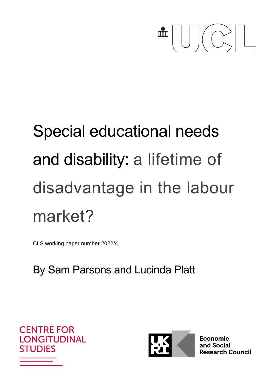

# Special educational needs and disability: a lifetime of disadvantage in the labour market?

CLS working paper number 2022/4

# By Sam Parsons and Lucinda Platt





Economic and Social **Research Council**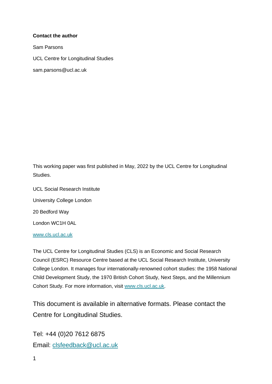#### **Contact the author**

Sam Parsons

UCL Centre for Longitudinal Studies

sam.parsons@ucl.ac.uk

This working paper was first published in May, 2022 by the UCL Centre for Longitudinal Studies.

UCL Social Research Institute University College London 20 Bedford Way London WC1H 0AL

[www.cls.ucl.ac.uk](http://www.cls.ucl.ac.uk/)

The UCL Centre for Longitudinal Studies (CLS) is an Economic and Social Research Council (ESRC) Resource Centre based at the UCL Social Research Institute, University College London. It manages four internationally-renowned cohort studies: the 1958 National Child Development Study, the 1970 British Cohort Study, Next Steps, and the Millennium Cohort Study. For more information, visit [www.cls.ucl.ac.uk.](http://www.cls.ucl.ac.uk/)

This document is available in alternative formats. Please contact the Centre for Longitudinal Studies.

Tel: +44 (0)20 7612 6875 Email: [clsfeedback@ucl.ac.uk](mailto:clsfeedback@ucl.ac.uk)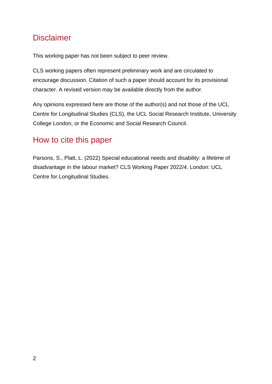# Disclaimer

This working paper has not been subject to peer review.

CLS working papers often represent preliminary work and are circulated to encourage discussion. Citation of such a paper should account for its provisional character. A revised version may be available directly from the author.

Any opinions expressed here are those of the author(s) and not those of the UCL Centre for Longitudinal Studies (CLS), the UCL Social Research Institute, University College London, or the Economic and Social Research Council.

# How to cite this paper

Parsons, S., Platt, L. (2022) Special educational needs and disability: a lifetime of disadvantage in the labour market? CLS Working Paper 2022/4. London: UCL Centre for Longitudinal Studies.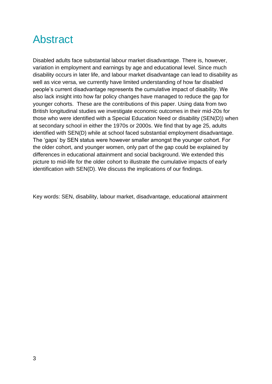# Abstract

Disabled adults face substantial labour market disadvantage. There is, however, variation in employment and earnings by age and educational level. Since much disability occurs in later life, and labour market disadvantage can lead to disability as well as vice versa, we currently have limited understanding of how far disabled people's current disadvantage represents the cumulative impact of disability. We also lack insight into how far policy changes have managed to reduce the gap for younger cohorts. These are the contributions of this paper. Using data from two British longitudinal studies we investigate economic outcomes in their mid-20s for those who were identified with a Special Education Need or disability (SEN(D)) when at secondary school in either the 1970s or 2000s. We find that by age 25, adults identified with SEN(D) while at school faced substantial employment disadvantage. The 'gaps' by SEN status were however smaller amongst the younger cohort. For the older cohort, and younger women, only part of the gap could be explained by differences in educational attainment and social background. We extended this picture to mid-life for the older cohort to illustrate the cumulative impacts of early identification with SEN(D). We discuss the implications of our findings.

Key words: SEN, disability, labour market, disadvantage, educational attainment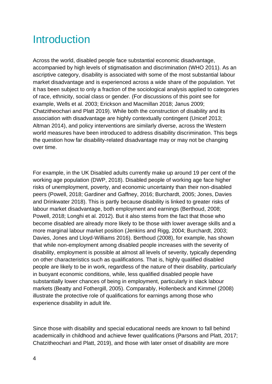# **Introduction**

Across the world, disabled people face substantial economic disadvantage, accompanied by high levels of stigmatisation and discrimination (WHO 2011). As an ascriptive category, disability is associated with some of the most substantial labour market disadvantage and is experienced across a wide share of the population. Yet it has been subject to only a fraction of the sociological analysis applied to categories of race, ethnicity, social class or gender. (For discussions of this point see for example, Wells et al. 2003; Erickson and Macmillan 2018; Janus 2009; Chatzitheochari and Platt 2019). While both the construction of disability and its association with disadvantage are highly contextually contingent (Unicef 2013; Altman 2014), and policy interventions are similarly diverse, across the Western world measures have been introduced to address disability discrimination. This begs the question how far disability-related disadvantage may or may not be changing over time.

For example, in the UK Disabled adults currently make up around 19 per cent of the working age population (DWP, 2018). Disabled people of working age face higher risks of unemployment, poverty, and economic uncertainty than their non-disabled peers (Powell, 2018; Gardiner and Gaffney, 2016; Burchardt, 2005; Jones, Davies and Drinkwater 2018). This is partly because disability is linked to greater risks of labour market disadvantage, both employment and earnings (Berthoud, 2008; Powell, 2018; Longhi et al. 2012). But it also stems from the fact that those who become disabled are already more likely to be those with lower average skills and a more marginal labour market position (Jenkins and Rigg, 2004; Burchardt, 2003; Davies, Jones and Lloyd-Williams 2016). Berthoud (2008), for example, has shown that while non-employment among disabled people increases with the severity of disability, employment is possible at almost all levels of severity, typically depending on other characteristics such as qualifications. That is, highly qualified disabled people are likely to be in work, regardless of the nature of their disability, particularly in buoyant economic conditions, while, less qualified disabled people have substantially lower chances of being in employment, particularly in slack labour markets (Beatty and Fothergill, 2005). Comparably, Hollenbeck and Kimmel (2008) illustrate the protective role of qualifications for earnings among those who experience disability in adult life.

Since those with disability and special educational needs are known to fall behind academically in childhood and achieve fewer qualifications (Parsons and Platt, 2017; Chatzitheochari and Platt, 2019), and those with later onset of disability are more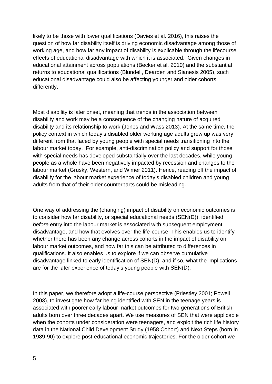likely to be those with lower qualifications (Davies et al. 2016), this raises the question of how far disability itself is driving economic disadvantage among those of working age, and how far any impact of disability is explicable through the lifecourse effects of educational disadvantage with which it is associated. Given changes in educational attainment across populations (Becker et al. 2010) and the substantial returns to educational qualifications (Blundell, Dearden and Sianesis 2005), such educational disadvantage could also be affecting younger and older cohorts differently.

Most disability is later onset, meaning that trends in the association between disability and work may be a consequence of the changing nature of acquired disability and its relationship to work (Jones and Wass 2013). At the same time, the policy context in which today's disabled older working age adults grew up was very different from that faced by young people with special needs transitioning into the labour market today. For example, anti-discrimination policy and support for those with special needs has developed substantially over the last decades, while young people as a whole have been negatively impacted by recession and changes to the labour market (Grusky, Western, and Wimer 2011). Hence, reading off the impact of disability for the labour market experience of today's disabled children and young adults from that of their older counterparts could be misleading.

One way of addressing the (changing) impact of disability on economic outcomes is to consider how far disability, or special educational needs (SEN(D)), identified *before* entry into the labour market is associated with subsequent employment disadvantage, and how that evolves over the life-course. This enables us to identify whether there has been any change across cohorts in the impact of disability on labour market outcomes, and how far this can be attributed to differences in qualifications. It also enables us to explore if we can observe cumulative disadvantage linked to early identification of SEN(D), and if so, what the implications are for the later experience of today's young people with SEN(D).

In this paper, we therefore adopt a life-course perspective (Priestley 2001; Powell 2003), to investigate how far being identified with SEN in the teenage years is associated with poorer early labour market outcomes for two generations of British adults born over three decades apart. We use measures of SEN that were applicable when the cohorts under consideration were teenagers, and exploit the rich life history data in the National Child Development Study (1958 Cohort) and Next Steps (born in 1989-90) to explore post-educational economic trajectories. For the older cohort we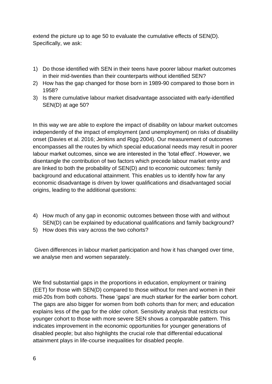extend the picture up to age 50 to evaluate the cumulative effects of SEN(D). Specifically, we ask:

- 1) Do those identified with SEN in their teens have poorer labour market outcomes in their mid-twenties than their counterparts without identified SEN?
- 2) How has the gap changed for those born in 1989-90 compared to those born in 1958?
- 3) Is there cumulative labour market disadvantage associated with early-identified SEN(D) at age 50?

In this way we are able to explore the impact of disability on labour market outcomes independently of the impact of employment (and unemployment) on risks of disability onset (Davies et al. 2016; Jenkins and Rigg 2004). Our measurement of outcomes encompasses all the routes by which special educational needs may result in poorer labour market outcomes, since we are interested in the 'total effect'. However, we disentangle the contribution of two factors which precede labour market entry and are linked to both the probability of SEN(D) and to economic outcomes: family background and educational attainment. This enables us to identify how far any economic disadvantage is driven by lower qualifications and disadvantaged social origins, leading to the additional questions:

- 4) How much of any gap in economic outcomes between those with and without SEN(D) can be explained by educational qualifications and family background?
- 5) How does this vary across the two cohorts?

Given differences in labour market participation and how it has changed over time, we analyse men and women separately.

We find substantial gaps in the proportions in education, employment or training (EET) for those with SEN(D) compared to those without for men and women in their mid-20s from both cohorts. These 'gaps' are much starker for the earlier born cohort. The gaps are also bigger for women from both cohorts than for men; and education explains less of the gap for the older cohort. Sensitivity analysis that restricts our younger cohort to those with more severe SEN shows a comparable pattern. This indicates improvement in the economic opportunities for younger generations of disabled people; but also highlights the crucial role that differential educational attainment plays in life-course inequalities for disabled people.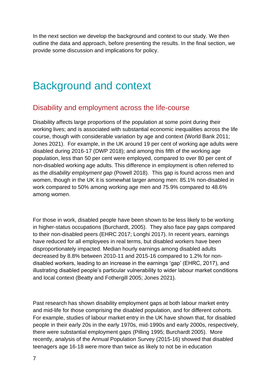In the next section we develop the background and context to our study. We then outline the data and approach, before presenting the results. In the final section, we provide some discussion and implications for policy.

# Background and context

### Disability and employment across the life-course

Disability affects large proportions of the population at some point during their working lives; and is associated with substantial economic inequalities across the life course, though with considerable variation by age and context (World Bank 2011; Jones 2021). For example, in the UK around 19 per cent of working age adults were disabled during 2016-17 (DWP 2018); and among this fifth of the working age population, less than 50 per cent were employed, compared to over 80 per cent of non-disabled working age adults. This difference in employment is often referred to as the *disability employment gap* (Powell 2018). This gap is found across men and women, though in the UK it is somewhat larger among men: 85.1% non-disabled in work compared to 50% among working age men and 75.9% compared to 48.6% among women.

For those in work, disabled people have been shown to be less likely to be working in higher-status occupations (Burchardt, 2005). They also face pay gaps compared to their non-disabled peers (EHRC 2017; Longhi 2017). In recent years, earnings have reduced for all employees in real terms, but disabled workers have been disproportionately impacted. Median hourly earnings among disabled adults decreased by 8.8% between 2010-11 and 2015-16 compared to 1.2% for nondisabled workers, leading to an increase in the earnings 'gap' (EHRC, 2017), and illustrating disabled people's particular vulnerability to wider labour market conditions and local context (Beatty and Fothergill 2005; Jones 2021).

Past research has shown disability employment gaps at both labour market entry and mid-life for those comprising the disabled population, and for different cohorts. For example, studies of labour market entry in the UK have shown that, for disabled people in their early 20s in the early 1970s, mid-1990s and early 2000s, respectively, there were substantial employment gaps (Pilling 1995; Burchardt 2005). More recently, analysis of the Annual Population Survey (2015-16) showed that disabled teenagers age 16-18 were more than twice as likely to not be in education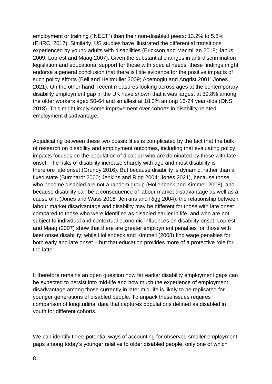employment or training ("NEET") than their non-disabled peers: 13.2% to 5.8% (EHRC, 2017). Similarly, US studies have illustrated the differential transitions experienced by young adults with disabilities (Erickson and Macmillan 2018; Janus 2009; Loprest and Maag 2007). Given the substantial changes in anti-discrimination legislation and educational support for those with special needs, these findings might endorse a general conclusion that there is little evidence for the positive impacts of such policy efforts (Bell and Heitmuller 2009; Acemoglu and Angrist 2001; Jones 2021). On the other hand, recent measures looking across ages at the contemporary disability employment gap in the UK have shown that it was largest at 39.8% among the older workers aged 50-64 and smallest at 18.3% among 16-24 year olds (ONS 2018). This might imply some improvement over cohorts in disability-related employment disadvantage.

Adjudicating between these two possibilities is complicated by the fact that the bulk of research on disability and employment outcomes, including that evaluating policy impacts focuses on the population of disabled who are dominated by those with late onset. The risks of disability increase sharply with age and most disability is therefore late onset (Grundy 2016). But because disability is dynamic, rather than a fixed state (Burchardt 2000; Jenkins and Rigg 2004; Jones 2021), because those who become disabled are not a random group (Hollenbeck and Kimmell 2008), and because disability can be a consequence of labour market disadvantage as well as a cause of it (Jones and Wass 2016; Jenkins and Rigg 2004), the relationship between labour market disadvantage and disability may be different for those with late onset compared to those who were identified as disabled earlier in life, and who are not subject to individual and contextual economic influences on disability onset. Loprest and Maag (2007) show that there are greater employment penalties for those with later onset disability; while Hollenbeck and Kimmell (2008) find wage penalties for both early and late onset – but that education provides more of a protective role for the latter.

It therefore remains an open question how far earlier disability employment gaps can be expected to persist into mid-life and how much the experience of employment disadvantage among those currently in later mid-life is likely to be replicated for younger generations of disabled people. To unpack these issues requires comparison of longitudinal data that captures populations defined as disabled in youth for different cohorts.

We can identify three potential ways of accounting for observed smaller employment gaps among today's younger relative to older disabled people, only one of which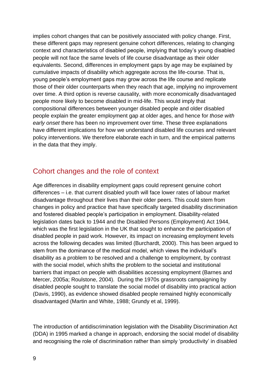implies cohort changes that can be positively associated with policy change. First, these different gaps may represent genuine cohort differences, relating to changing context and characteristics of disabled people, implying that today's young disabled people will not face the same levels of life course disadvantage as their older equivalents. Second, differences in employment gaps by age may be explained by cumulative impacts of disability which aggregate across the life-course. That is, young people's employment gaps may grow across the life course and replicate those of their older counterparts when they reach that age, implying no improvement over time. A third option is reverse causality, with more economically disadvantaged people more likely to become disabled in mid-life. This would imply that compositional differences between younger disabled people and older disabled people explain the greater employment gap at older ages, and hence for *those with early onset* there has been no improvement over time. These three explanations have different implications for how we understand disabled life courses and relevant policy interventions. We therefore elaborate each in turn, and the empirical patterns in the data that they imply.

## Cohort changes and the role of context

Age differences in disability employment gaps could represent genuine cohort differences – i.e. that current disabled youth will face lower rates of labour market disadvantage throughout their lives than their older peers. This could stem from changes in policy and practice that have specifically targeted disability discrimination and fostered disabled people's participation in employment. Disability-related legislation dates back to 1944 and the Disabled Persons (Employment) Act 1944, which was the first legislation in the UK that sought to enhance the participation of disabled people in paid work. However, its impact on increasing employment levels across the following decades was limited (Burchardt, 2000). This has been argued to stem from the dominance of the medical model, which views the individual's disability as a problem to be resolved and a challenge to employment, by contrast with the social model, which shifts the problem to the societal and institutional barriers that impact on people with disabilities accessing employment (Barnes and Mercer, 2005a; Roulstone, 2004). During the 1970s grassroots campaigning by disabled people sought to translate the social model of disability into practical action (Davis, 1990), as evidence showed disabled people remained highly economically disadvantaged (Martin and White, 1988; Grundy et al, 1999).

The introduction of antidiscrimination legislation with the Disability Discrimination Act (DDA) in 1995 marked a change in approach, endorsing the social model of disability and recognising the role of discrimination rather than simply 'productivity' in disabled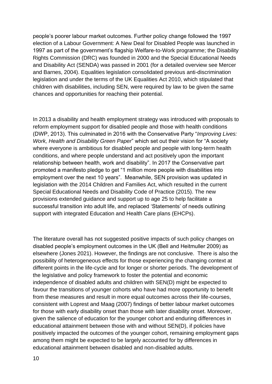people's poorer labour market outcomes. Further policy change followed the 1997 election of a Labour Government: A New Deal for Disabled People was launched in 1997 as part of the government's flagship Welfare-to-Work programme; the Disability Rights Commission (DRC) was founded in 2000 and the Special Educational Needs and Disability Act (SENDA) was passed in 2001 (for a detailed overview see Mercer and Barnes, 2004). Equalities legislation consolidated previous anti-discrimination legislation and under the terms of the UK Equalities Act 2010, which stipulated that children with disabilities, including SEN, were required by law to be given the same chances and opportunities for reaching their potential.

In 2013 a disability and health employment strategy was introduced with proposals to reform employment support for disabled people and those with health conditions (DWP, 2013). This culminated in 2016 with the Conservative Party "*Improving Lives: Work, Health and Disability Green Paper*" which set out their vision for "A society where everyone is ambitious for disabled people and people with long-term health conditions, and where people understand and act positively upon the important relationship between health, work and disability". In 2017 the Conservative part promoted a manifesto pledge to get "1 million more people with disabilities into employment over the next 10 years". Meanwhile, SEN provision was updated in legislation with the 2014 Children and Families Act, which resulted in the current Special Educational Needs and Disability Code of Practice (2015). The new provisions extended guidance and support up to age 25 to help facilitate a successful transition into adult life, and replaced 'Statements' of needs outlining support with integrated Education and Health Care plans (EHCPs).

The literature overall has not suggested positive impacts of such policy changes on disabled people's employment outcomes in the UK (Bell and Heitmuller 2009) as elsewhere (Jones 2021). However, the findings are not conclusive. There is also the possibility of heterogeneous effects for those experiencing the changing context at different points in the life-cycle and for longer or shorter periods. The development of the legislative and policy framework to foster the potential and economic independence of disabled adults and children with SEN(D) might be expected to favour the transitions of younger cohorts who have had more opportunity to benefit from these measures and result in more equal outcomes across their life-courses, consistent with Loprest and Maag (2007) findings of better labour market outcomes for those with early disability onset than those with later disability onset. Moreover, given the salience of education for the younger cohort and enduring differences in educational attainment between those with and without SEN(D), if policies have positively impacted the outcomes of the younger cohort, remaining employment gaps among them might be expected to be largely accounted for by differences in educational attainment between disabled and non-disabled adults.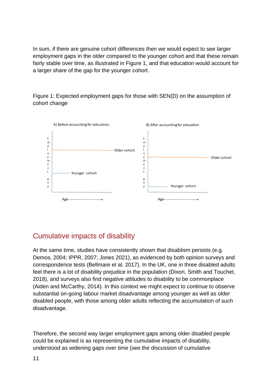In sum, if there are genuine cohort differences then we would expect to see larger employment gaps in the older compared to the younger cohort and that these remain fairly stable over time, as illustrated in Figure 1, and that education would account for a larger share of the gap for the younger cohort.

Figure 1: Expected employment gaps for those with SEN(D) on the assumption of cohort change



## Cumulative impacts of disability

At the same time, studies have consistently shown that disablism persists (e.g. Demos, 2004; IPPR, 2007; Jones 2021), as evidenced by both opinion surveys and correspondence tests (Bellmare et al. 2017). In the UK, one in three disabled adults feel there is a lot of disability prejudice in the population (Dixon, Smith and Touchet, 2018), and surveys also find negative attitudes to disability to be commonplace (Aiden and McCarthy, 2014). In this context we might expect to continue to observe substantial on-going labour market disadvantage among younger as well as older disabled people, with those among older adults reflecting the accumulation of such disadvantage.

Therefore, the second way larger employment gaps among older disabled people could be explained is as representing the cumulative impacts of disability, understood as widening gaps over time (see the discussion of cumulative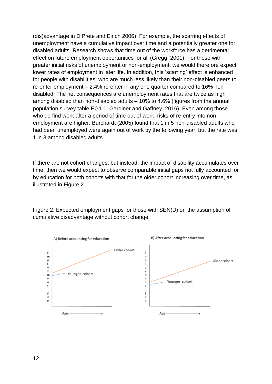(dis)advantage in DiPrete and Eirich 2006). For example, the scarring effects of unemployment have a cumulative impact over time and a potentially greater one for disabled adults. Research shows that time out of the workforce has a detrimental effect on future employment opportunities for all (Gregg, 2001). For those with greater initial risks of unemployment or non-employment, we would therefore expect lower rates of employment in later life. In addition, this 'scarring' effect is enhanced for people with disabilities, who are much less likely than their non-disabled peers to re-enter employment – 2.4% re-enter in any one quarter compared to 16% nondisabled. The net consequences are unemployment rates that are twice as high among disabled than non-disabled adults – 10% to 4.6% (figures from the annual population survey table EG1.1, Gardiner and Gaffney, 2016). Even among those who do find work after a period of time out of work, risks of re-entry into nonemployment are higher. Burchardt (2005) found that 1 in 5 non-disabled adults who had been unemployed were again out of work by the following year, but the rate was 1 in 3 among disabled adults.

If there are not cohort changes, but instead, the impact of disability accumulates over time, then we would expect to observe comparable initial gaps not fully accounted for by education for both cohorts with that for the older cohort increasing over time, as illustrated in Figure 2.



Figure 2: Expected employment gaps for those with SEN(D) on the assumption of cumulative disadvantage without cohort change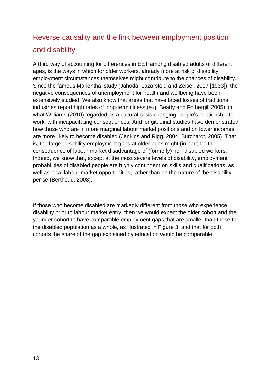# Reverse causality and the link between employment position and disability

A third way of accounting for differences in EET among disabled adults of different ages, is the ways in which for older workers, already more at risk of disability, employment circumstances themselves might contribute to the chances of disability. Since the famous Marienthal study (Jahoda, Lazarsfeld and Zeisel, 2017 [1933]), the negative consequences of unemployment for health and wellbeing have been extensively studied. We also know that areas that have faced losses of traditional industries report high rates of long-term illness (e.g. Beatty and Fothergill 2005), in what Williams (2010) regarded as a cultural crisis changing people's relationship to work, with incapacitating consequences. And longitudinal studies have demonstrated how those who are in more marginal labour market positions and on lower incomes are more likely to become disabled (Jenkins and Rigg, 2004; Burchardt, 2005). That is, the larger disability employment gaps at older ages might (in part) be the consequence of labour market disadvantage of (formerly) non-disabled workers. Indeed, we know that, except at the most severe levels of disability, employment probabilities of disabled people are highly contingent on skills and qualifications, as well as local labour market opportunities, rather than on the nature of the disability per se (Berthoud, 2008).

If those who become disabled are markedly different from those who experience disability prior to labour market entry, then we would expect the older cohort and the younger cohort to have comparable employment gaps that are smaller than those for the disabled population as a whole, as illustrated in Figure 3, and that for both cohorts the share of the gap explained by education would be comparable.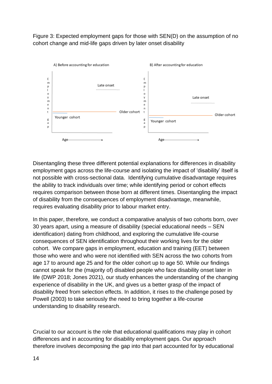Figure 3: Expected employment gaps for those with SEN(D) on the assumption of no cohort change and mid-life gaps driven by later onset disability



Disentangling these three different potential explanations for differences in disability employment gaps across the life-course and isolating the impact of 'disability' itself is not possible with cross-sectional data. Identifying cumulative disadvantage requires the ability to track individuals over time; while identifying period or cohort effects requires comparison between those born at different times. Disentangling the impact of disability from the consequences of employment disadvantage, meanwhile, requires evaluating disability prior to labour market entry.

In this paper, therefore, we conduct a comparative analysis of two cohorts born, over 30 years apart, using a measure of disability (special educational needs – SEN identification) dating from childhood, and exploring the cumulative life-course consequences of SEN identification throughout their working lives for the older cohort. We compare gaps in employment, education and training (EET) between those who were and who were not identified with SEN across the two cohorts from age 17 to around age 25 and for the older cohort up to age 50. While our findings cannot speak for the (majority of) disabled people who face disability onset later in life (DWP 2018; Jones 2021), our study enhances the understanding of the changing experience of disability in the UK, and gives us a better grasp of the impact of disability freed from selection effects. In addition, it rises to the challenge posed by Powell (2003) to take seriously the need to bring together a life-course understanding to disability research.

Crucial to our account is the role that educational qualifications may play in cohort differences and in accounting for disability employment gaps. Our approach therefore involves decomposing the gap into that part accounted for by educational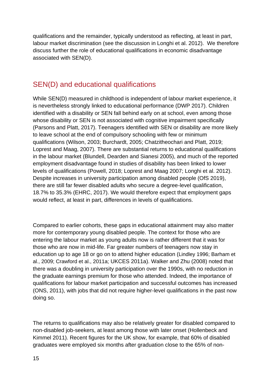qualifications and the remainder, typically understood as reflecting, at least in part, labour market discrimination (see the discussion in Longhi et al. 2012). We therefore discuss further the role of educational qualifications in economic disadvantage associated with SEN(D).

## SEN(D) and educational qualifications

While SEN(D) measured in childhood is independent of labour market experience, it is nevertheless strongly linked to educational performance (DWP 2017). Children identified with a disability or SEN fall behind early on at school, even among those whose disability or SEN is not associated with cognitive impairment specifically (Parsons and Platt, 2017). Teenagers identified with SEN or disability are more likely to leave school at the end of compulsory schooling with few or minimum qualifications (Wilson, 2003; Burchardt, 2005; Chatzitheochari and Platt, 2019; Loprest and Maag, 2007). There are substantial returns to educational qualifications in the labour market (Blundell, Dearden and Sianesi 2005), and much of the reported employment disadvantage found in studies of disability has been linked to lower levels of qualifications (Powell, 2018; Loprest and Maag 2007; Longhi et al. 2012). Despite increases in university participation among disabled people (OfS 2019), there are still far fewer disabled adults who secure a degree-level qualification, 18.7% to 35.3% (EHRC, 2017). We would therefore expect that employment gaps would reflect, at least in part, differences in levels of qualifications.

Compared to earlier cohorts, these gaps in educational attainment may also matter more for contemporary young disabled people. The context for those who are entering the labour market as young adults now is rather different that it was for those who are now in mid-life. Far greater numbers of teenagers now stay in education up to age 18 or go on to attend higher education (Lindley 1996; Barham et al., 2009; Crawford et al., 2011a; UKCES 2011a). Walker and Zhu (2008) noted that there was a doubling in university participation over the 1990s, with no reduction in the graduate earnings premium for those who attended. Indeed, the importance of qualifications for labour market participation and successful outcomes has increased (ONS, 2011), with jobs that did not require higher-level qualifications in the past now doing so.

The returns to qualifications may also be relatively greater for disabled compared to non-disabled job-seekers, at least among those with later onset (Hollenbeck and Kimmel 2011). Recent figures for the UK show, for example, that 60% of disabled graduates were employed six months after graduation close to the 65% of non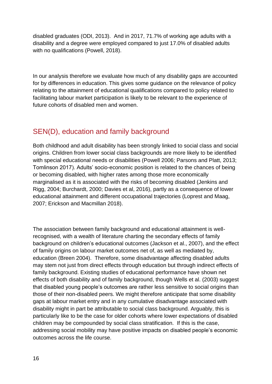disabled graduates (ODI, 2013). And in 2017, 71.7% of working age adults with a disability and a degree were employed compared to just 17.0% of disabled adults with no qualifications (Powell, 2018).

In our analysis therefore we evaluate how much of any disability gaps are accounted for by differences in education. This gives some guidance on the relevance of policy relating to the attainment of educational qualifications compared to policy related to facilitating labour market participation is likely to be relevant to the experience of future cohorts of disabled men and women.

## SEN(D), education and family background

Both childhood and adult disability has been strongly linked to social class and social origins. Children from lower social class backgrounds are more likely to be identified with special educational needs or disabilities (Powell 2006; Parsons and Platt, 2013; Tomlinson 2017). Adults' socio-economic position is related to the chances of being or becoming disabled, with higher rates among those more economically marginalised as it is associated with the risks of becoming disabled (Jenkins and Rigg, 2004; Burchardt, 2000; Davies et al, 2016), partly as a consequence of lower educational attainment and different occupational trajectories (Loprest and Maag, 2007; Erickson and Macmillan 2018).

The association between family background and educational attainment is wellrecognised, with a wealth of literature charting the secondary effects of family background on children's educational outcomes (Jackson et al., 2007), and the effect of family origins on labour market outcomes net of, as well as mediated by, education (Breen 2004). Therefore, some disadvantage affecting disabled adults may stem not just from direct effects through education but through indirect effects of family background. Existing studies of educational performance have shown net effects of both disability and of family background, though Wells et al. (2003) suggest that disabled young people's outcomes are rather less sensitive to social origins than those of their non-disabled peers. We might therefore anticipate that some disability gaps at labour market entry and in any cumulative disadvantage associated with disability might in part be attributable to social class background. Arguably, this is particularly like to be the case for older cohorts where lower expectations of disabled children may be compounded by social class stratification. If this is the case, addressing social mobility may have positive impacts on disabled people's economic outcomes across the life course.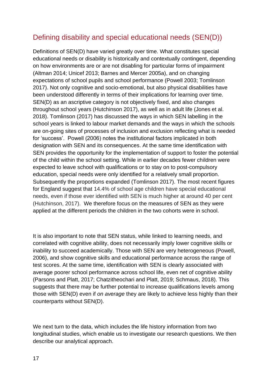## Defining disability and special educational needs (SEN(D))

Definitions of SEN(D) have varied greatly over time. What constitutes special educational needs or disability is historically and contextually contingent, depending on how environments are or are not disabling for particular forms of impairment (Altman 2014; Unicef 2013; Barnes and Mercer 2005a), and on changing expectations of school pupils and school performance (Powell 2003; Tomlinson 2017). Not only cognitive and socio-emotional, but also physical disabilities have been understood differently in terms of their implications for learning over time. SEN(D) as an ascriptive category is not objectively fixed, and also changes throughout school years (Hutchinson 2017), as well as in adult life (Jones et al. 2018). Tomlinson (2017) has discussed the ways in which SEN labelling in the school years is linked to labour market demands and the ways in which the schools are on-going sites of processes of inclusion and exclusion reflecting what is needed for 'success'. Powell (2006) notes the institutional factors implicated in both designation with SEN and its consequences. At the same time identification with SEN provides the opportunity for the implementation of support to foster the potential of the child within the school setting. While in earlier decades fewer children were expected to leave school with qualifications or to stay on to post-compulsory education, special needs were only identified for a relatively small proportion. Subsequently the proportions expanded (Tomlinson 2017). The most recent figures for England suggest that 14.4% of school age children have special educational needs, even if those ever identified with SEN is much higher at around 40 per cent (Hutchinson, 2017). We therefore focus on the measures of SEN as they were applied at the different periods the children in the two cohorts were in school.

It is also important to note that SEN status, while linked to learning needs, and correlated with cognitive ability, does not necessarily imply lower cognitive skills or inability to succeed academically. Those with SEN are very heterogeneous (Powell, 2006), and show cognitive skills and educational performance across the range of test scores. At the same time, identification with SEN is clearly associated with average poorer school performance across school life, even net of cognitive ability (Parsons and Platt, 2017; Chatzitheochari and Platt, 2019; Schmaus, 2018). This suggests that there may be further potential to increase qualifications levels among those with SEN(D) even if *on average* they are likely to achieve less highly than their counterparts without SEN(D).

We next turn to the data, which includes the life history information from two longitudinal studies, which enable us to investigate our research questions. We then describe our analytical approach.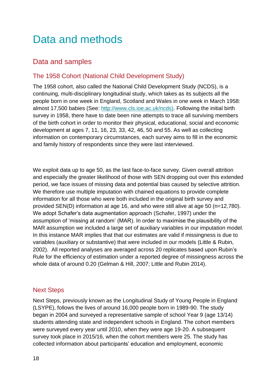# Data and methods

## Data and samples

#### The 1958 Cohort (National Child Development Study)

The 1958 cohort, also called the National Child Development Study (NCDS), is a continuing, multi-disciplinary longitudinal study, which takes as its subjects all the people born in one week in England, Scotland and Wales in one week in March 1958: almost 17,500 babies (See: [http://www.cls.ioe.ac.uk/ncds\)](http://www.cls.ioe.ac.uk/ncds). Following the initial birth survey in 1958, there have to date been nine attempts to trace all surviving members of the birth cohort in order to monitor their physical, educational, social and economic development at ages 7, 11, 16, 23, 33, 42, 46, 50 and 55. As well as collecting information on contemporary circumstances, each survey aims to fill in the economic and family history of respondents since they were last interviewed.

We exploit data up to age 50, as the last face-to-face survey. Given overall attrition and especially the greater likelihood of those with SEN dropping out over this extended period, we face issues of missing data and potential bias caused by selective attrition. We therefore use multiple imputation with chained equations to provide complete information for all those who were both included in the original birth survey and provided SEN(D) information at age 16, and who were still alive at age 50 (n=12,780). We adopt Schafer's data augmentation approach (Schafer, 1997) under the assumption of 'missing at random' (MAR). In order to maximise the plausibility of the MAR assumption we included a large set of auxiliary variables in our imputation model. In this instance MAR implies that that our estimates are valid if missingness is due to variables (auxiliary or substantive) that were included in our models (Little & Rubin, 2002). All reported analyses are averaged across 20 replicates based upon Rubin's Rule for the efficiency of estimation under a reported degree of missingness across the whole data of around 0.20 (Gelman & Hill, 2007; Little and Rubin 2014).

#### Next Steps

Next Steps, previously known as the Longitudinal Study of Young People in England (LSYPE), follows the lives of around 16,000 people born in 1989-90. The study began in 2004 and surveyed a representative sample of school Year 9 (age 13/14) students attending state and independent schools in England. The cohort members were surveyed every year until 2010, when they were age 19-20. A subsequent survey took place in 2015/16, when the cohort members were 25. The study has collected information about participants' education and employment, economic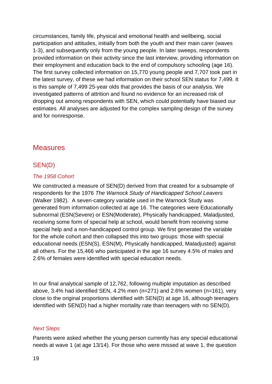circumstances, family life, physical and emotional health and wellbeing, social participation and attitudes, initially from both the youth and their main carer (waves 1-3), and subsequently only from the young people. In later sweeps, respondents provided information on their activity since the last interview, providing information on their employment and education back to the end of compulsory schooling (age 16). The first survey collected information on 15,770 young people and 7,707 took part in the latest survey, of these we had information on their school SEN status for 7,499. It is this sample of 7,499 25-year olds that provides the basis of our analysis. We investigated patterns of attrition and found no evidence for an increased risk of dropping out among respondents with SEN, which could potentially have biased our estimates. All analyses are adjusted for the complex sampling design of the survey and for nonresponse.

#### **Measures**

#### SEN(D)

#### *The 1958 Cohort*

We constructed a measure of SEN(D) derived from that created for a subsample of respondents for the 1976 *The Warnock Study of Handicapped School Leavers* (Walker 1982). A seven-category variable used in the Warnock Study was generated from information collected at age 16. The categories were Educationally subnormal (ESN(Severe) or ESN(Moderate), Physically handicapped, Maladjusted, receiving some form of special help at school, would benefit from receiving some special help and a non-handicapped control group. We first generated the variable for the whole cohort and then collapsed this into two groups: those with special educational needs (ESN(S), ESN(M), Physically handicapped, Maladjusted) against all others. For the 15,466 who participated in the age 16 survey 4.5% of males and 2.6% of females were identified with special education needs.

In our final analytical sample of 12,762, following multiple imputation as described above, 3.4% had identified SEN, 4.2% men (n=271) and 2.6% women (n=161), very close to the original proportions identified with SEN(D) at age 16, although teenagers identified with SEN(D) had a higher mortality rate than teenagers with no SEN(D).

#### *Next Steps*

Parents were asked whether the young person currently has any special educational needs at wave 1 (at age 13/14). For those who were missed at wave 1, the question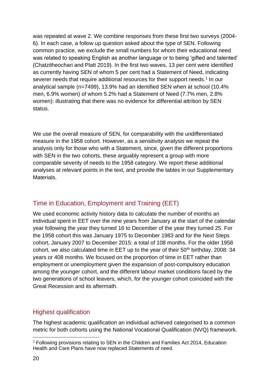was repeated at wave 2. We combine responses from these first two surveys (2004- 6). In each case, a follow up question asked about the type of SEN. Following common practice, we exclude the small numbers for whom their educational need was related to speaking English as another language or to being 'gifted and talented' (Chatzitheochari and Platt 2019). In the first two waves, 13 per cent were identified as currently having SEN of whom 5 per cent had a Statement of Need, indicating severer needs that require additional resources for their support needs.<sup>1</sup> In our analytical sample (n=7499), 13.9% had an identified SEN when at school (10.4% men, 6.9% women) of whom 5.2% had a Statement of Need (7.7% men, 2.8% women): illustrating that there was no evidence for differential attrition by SEN status.

We use the overall measure of SEN, for comparability with the undifferentiated measure in the 1958 cohort. However, as a sensitivity analysis we repeat the analysis only for those who with a Statement, since, given the different proportions with SEN in the two cohorts, these arguably represent a group with more comparable severity of needs to the 1958 category. We report these additional analyses at relevant points in the text, and provide the tables in our Supplementary Materials.

#### Time in Education, Employment and Training (EET)

We used economic activity history data to calculate the number of months an individual spent in EET over the nine years from January at the start of the calendar year following the year they turned 16 to December of the year they turned 25. For the 1958 cohort this was January 1975 to December 1983 and for the Next Steps cohort, January 2007 to December 2015: a total of 108 months. For the older 1958 cohort, we also calculated time in EET up to the year of their  $50<sup>th</sup>$  birthday, 2008: 34 years or 408 months. We focused on the proportion of time in EET rather than employment or unemployment given the expansion of post-compulsory education among the younger cohort, and the different labour market conditions faced by the two generations of school leavers, which, for the younger cohort coincided with the Great Recession and its aftermath.

#### Highest qualification

The highest academic qualification an individual achieved categorised to a common metric for both cohorts using the National Vocational Qualification (NVQ) framework.

<sup>&</sup>lt;sup>1</sup> Following provisions relating to SEN in the Children and Families Act 2014, Education Health and Care Plans have now replaced Statements of need.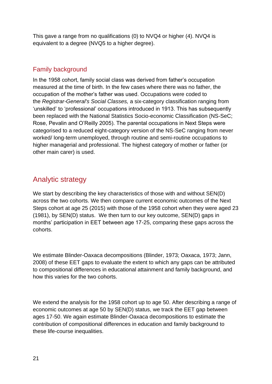This gave a range from no qualifications (0) to NVQ4 or higher (4). NVQ4 is equivalent to a degree (NVQ5 to a higher degree).

#### Family background

In the 1958 cohort, family social class was derived from father's occupation measured at the time of birth. In the few cases where there was no father, the occupation of the mother's father was used. Occupations were coded to the *Registrar-General's Social Classes,* a six-category classification ranging from 'unskilled' to 'professional' occupations introduced in 1913. This has subsequently been replaced with the National Statistics Socio-economic Classification (NS-SeC; Rose, Pevalin and O'Reilly 2005). The parental occupations in Next Steps were categorised to a reduced eight-category version of the NS-SeC ranging from never worked/ long-term unemployed, through routine and semi-routine occupations to higher managerial and professional. The highest category of mother or father (or other main carer) is used.

## Analytic strategy

We start by describing the key characteristics of those with and without SEN(D) across the two cohorts. We then compare current economic outcomes of the Next Steps cohort at age 25 (2015) with those of the 1958 cohort when they were aged 23 (1981), by SEN(D) status. We then turn to our key outcome, SEN(D) gaps in months' participation in EET between age 17-25, comparing these gaps across the cohorts.

We estimate Blinder-Oaxaca decompositions (Blinder, 1973; Oaxaca, 1973; Jann, 2008) of these EET gaps to evaluate the extent to which any gaps can be attributed to compositional differences in educational attainment and family background, and how this varies for the two cohorts.

We extend the analysis for the 1958 cohort up to age 50. After describing a range of economic outcomes at age 50 by SEN(D) status, we track the EET gap between ages 17-50. We again estimate Blinder-Oaxaca decompositions to estimate the contribution of compositional differences in education and family background to these life-course inequalities.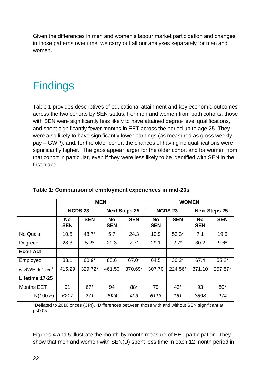Given the differences in men and women's labour market participation and changes in those patterns over time, we carry out all our analyses separately for men and women.

# **Findings**

Table 1 provides descriptives of educational attainment and key economic outcomes across the two cohorts by SEN status. For men and women from both cohorts, those with SEN were significantly less likely to have attained degree level qualifications, and spent significantly fewer months in EET across the period up to age 25. They were also likely to have significantly lower earnings (as measured as gross weekly pay – GWP); and, for the older cohort the chances of having no qualifications were significantly higher. The gaps appear larger for the older cohort and for women from that cohort in particular, even if they were less likely to be identified with SEN in the first place.

|                             | <b>MEN</b>       |                |                         | <b>WOMEN</b>         |                         |                |                         |            |
|-----------------------------|------------------|----------------|-------------------------|----------------------|-------------------------|----------------|-------------------------|------------|
|                             |                  | <b>NCDS 23</b> |                         | <b>Next Steps 25</b> |                         | <b>NCDS 23</b> | <b>Next Steps 25</b>    |            |
|                             | No<br><b>SEN</b> | <b>SEN</b>     | <b>No</b><br><b>SEN</b> | <b>SEN</b>           | <b>No</b><br><b>SEN</b> | <b>SEN</b>     | <b>No</b><br><b>SEN</b> | <b>SEN</b> |
| No Quals                    | 10.5             | 48.7*          | 5.7                     | 24.3                 | 10.9                    | $53.3*$        | 7.1                     | 19.5       |
| Degree+                     | 28.3             | $5.2*$         | 29.3                    | $7.7*$               | 29.1                    | $2.7*$         | 30.2                    | $9.6*$     |
| <b>Econ Act</b>             |                  |                |                         |                      |                         |                |                         |            |
| Employed                    | 83.1             | $60.9*$        | 85.6                    | 67.0*                | 64.5                    | $30.2*$        | 67.4                    | $55.2*$    |
| £ GWP deflated <sup>1</sup> | 415.29           | 329.72*        | 461.50                  | 370.69*              | 307.70                  | 224.56*        | 371.10                  | 257.87*    |
| Lifetime 17-25              |                  |                |                         |                      |                         |                |                         |            |
| <b>Months EET</b>           | 91               | $67*$          | 94                      | 88*                  | 79                      | $43*$          | 93                      | $80*$      |
| N(100%)                     | 6217             | 271            | 2924                    | 403                  | 6113                    | 161            | 3898                    | 274        |

#### **Table 1: Comparison of employment experiences in mid-20s**

<sup>1</sup>Deflated to 2016 prices (CPI). \*Differences between those with and without SEN significant at p<0.05.

Figures 4 and 5 illustrate the month-by-month measure of EET participation. They show that men and women with SEN(D) spent less time in each 12 month period in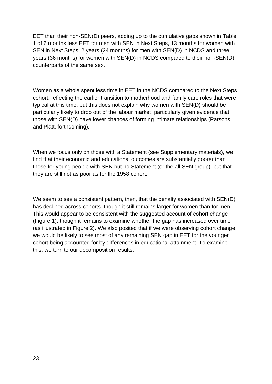EET than their non-SEN(D) peers, adding up to the cumulative gaps shown in Table 1 of 6 months less EET for men with SEN in Next Steps, 13 months for women with SEN in Next Steps, 2 years (24 months) for men with SEN(D) in NCDS and three years (36 months) for women with SEN(D) in NCDS compared to their non-SEN(D) counterparts of the same sex.

Women as a whole spent less time in EET in the NCDS compared to the Next Steps cohort, reflecting the earlier transition to motherhood and family care roles that were typical at this time, but this does not explain why women with SEN(D) should be particularly likely to drop out of the labour market, particularly given evidence that those with SEN(D) have lower chances of forming intimate relationships (Parsons and Platt, forthcoming).

When we focus only on those with a Statement (see Supplementary materials), we find that their economic and educational outcomes are substantially poorer than those for young people with SEN but no Statement (or the all SEN group), but that they are still not as poor as for the 1958 cohort.

We seem to see a consistent pattern, then, that the penalty associated with SEN(D) has declined across cohorts, though it still remains larger for women than for men. This would appear to be consistent with the suggested account of cohort change (Figure 1), though it remains to examine whether the gap has increased over time (as illustrated in Figure 2). We also posited that if we were observing cohort change, we would be likely to see most of any remaining SEN gap in EET for the younger cohort being accounted for by differences in educational attainment. To examine this, we turn to our decomposition results.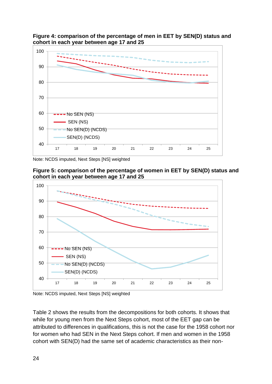**Figure 4: comparison of the percentage of men in EET by SEN(D) status and cohort in each year between age 17 and 25**



Note: NCDS imputed, Next Steps [NS] weighted





Note: NCDS imputed, Next Steps [NS] weighted

Table 2 shows the results from the decompositions for both cohorts. It shows that while for young men from the Next Steps cohort, most of the EET gap can be attributed to differences in qualifications, this is not the case for the 1958 cohort nor for women who had SEN in the Next Steps cohort. If men and women in the 1958 cohort with SEN(D) had the same set of academic characteristics as their non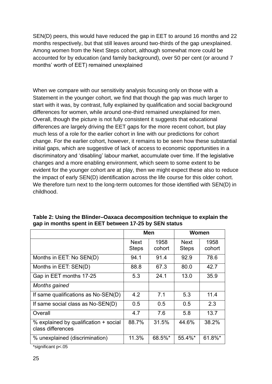SEN(D) peers, this would have reduced the gap in EET to around 16 months and 22 months respectively, but that still leaves around two-thirds of the gap unexplained. Among women from the Next Steps cohort, although somewhat more could be accounted for by education (and family background), over 50 per cent (or around 7 months' worth of EET) remained unexplained

When we compare with our sensitivity analysis focusing only on those with a Statement in the younger cohort, we find that though the gap was much larger to start with it was, by contrast, fully explained by qualification and social background differences for women, while around one-third remained unexplained for men. Overall, though the picture is not fully consistent it suggests that educational differences are largely driving the EET gaps for the more recent cohort, but play much less of a role for the earlier cohort in line with our predictions for cohort change. For the earlier cohort, however, it remains to be seen how these substantial initial gaps, which are suggestive of lack of access to economic opportunities in a discriminatory and 'disabling' labour market, accumulate over time. If the legislative changes and a more enabling environment, which seem to some extent to be evident for the younger cohort are at play, then we might expect these also to reduce the impact of early SEN(D) identification across the life course for this older cohort. We therefore turn next to the long-term outcomes for those identified with SEN(D) in childhood.

|                                                            | Men                         |                | Women                |                |
|------------------------------------------------------------|-----------------------------|----------------|----------------------|----------------|
|                                                            | <b>Next</b><br><b>Steps</b> | 1958<br>cohort | Next<br><b>Steps</b> | 1958<br>cohort |
| Months in EET: No SEN(D)                                   | 94.1                        | 91.4           | 92.9                 | 78.6           |
| Months in EET: SEN(D)                                      | 88.8                        | 67.3           | 80.0                 | 42.7           |
| Gap in EET months 17-25                                    | 5.3                         | 24.1           | 13.0                 | 35.9           |
| <b>Months gained</b>                                       |                             |                |                      |                |
| If same qualifications as No-SEN(D)                        | 4.2                         | 7.1            | 5.3                  | 11.4           |
| If same social class as No-SEN(D)                          | 0.5                         | 0.5            | 0.5                  | 2.3            |
| Overall                                                    | 4.7                         | 7.6            | 5.8                  | 13.7           |
| % explained by qualification + social<br>class differences | 88.7%                       | 31.5%          | 44.6%                | 38.2%          |
| % unexplained (discrimination)                             | 11.3%                       | 68.5%*         | 55.4%*               | 61.8%*         |

**Table 2: Using the Blinder–Oaxaca decomposition technique to explain the gap in months spent in EET between 17-25 by SEN status** 

\*significant p<.05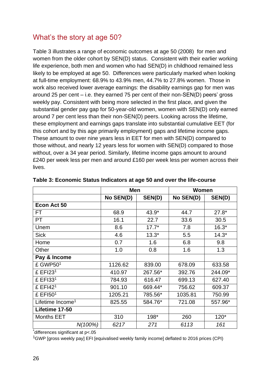## What's the story at age 50?

Table 3 illustrates a range of economic outcomes at age 50 (2008) for men and women from the older cohort by SEN(D) status. Consistent with their earlier working life experience, both men and women who had SEN(D) in childhood remained less likely to be employed at age 50. Differences were particularly marked when looking at full-time employment: 68.9% to 43.9% men, 44.7% to 27.8% women. Those in work also received lower average earnings: the disability earnings gap for men was around 25 per cent – i.e. they earned 75 per cent of their non-SEN(D) peers' gross weekly pay. Consistent with being more selected in the first place, and given the substantial gender pay gap for 50-year-old women, women with SEN(D) only earned around 7 per cent less than their non-SEN(D) peers. Looking across the lifetime, these employment and earnings gaps translate into substantial cumulative EET (for this cohort and by this age primarily employment) gaps and lifetime income gaps. These amount to over nine years less in EET for men with SEN(D) compared to those without, and nearly 12 years less for women with SEN(D) compared to those without, over a 34 year period. Similarly, lifetime income gaps amount to around £240 per week less per men and around £160 per week less per women across their lives.

|                              | <b>Men</b> |         | Women     |         |
|------------------------------|------------|---------|-----------|---------|
|                              | No SEN(D)  | SEN(D)  | No SEN(D) | SEN(D)  |
| Econ Act 50                  |            |         |           |         |
| FT                           | 68.9       | 43.9*   | 44.7      | $27.8*$ |
| PT                           | 16.1       | 22.7    | 33.6      | 30.5    |
| Unem                         | 8.6        | $17.7*$ | 7.8       | $16.3*$ |
| <b>Sick</b>                  | 4.6        | $13.3*$ | 5.5       | $14.3*$ |
| Home                         | 0.7        | 1.6     | 6.8       | 9.8     |
| Other                        | 1.0        | 0.8     | 1.6       | 1.3     |
| Pay & Income                 |            |         |           |         |
| $£$ GWP50 <sup>1</sup>       | 1126.62    | 839.00  | 678.09    | 633.58  |
| £ $EFI231$                   | 410.97     | 267.56* | 392.76    | 244.09* |
| £ EFI331                     | 784.93     | 616.47  | 699.13    | 627.40  |
| $£$ EFI42 <sup>1</sup>       | 901.10     | 669.44* | 756.62    | 609.37  |
| £ EFI501                     | 1205.21    | 785.56* | 1035.81   | 750.99  |
| Lifetime Income <sup>1</sup> | 825.55     | 584.76* | 721.08    | 557.96* |
| Lifetime 17-50               |            |         |           |         |
| <b>Months EET</b>            | 310        | 198*    | 260       | $120*$  |
| N(100%)                      | 6217       | 271     | 6113      | 161     |

| Table 3: Economic Status Indicators at age 50 and over the life-course |  |
|------------------------------------------------------------------------|--|
|------------------------------------------------------------------------|--|

\*differences significant at p<.05

<sup>1</sup>GWP [gross weekly pay] EFI [equivalised weekly family income] deflated to 2016 prices (CPI)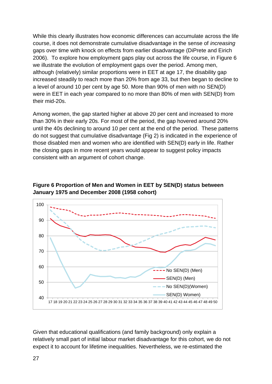While this clearly illustrates how economic differences can accumulate across the life course, it does not demonstrate cumulative disadvantage in the sense of *increasing* gaps over time with knock on effects from earlier disadvantage (DiPrete and Eirich 2006). To explore how employment gaps play out across the life course, in Figure 6 we illustrate the evolution of employment gaps over the period. Among men, although (relatively) similar proportions were in EET at age 17, the disability gap increased steadily to reach more than 20% from age 33, but then began to decline to a level of around 10 per cent by age 50. More than 90% of men with no SEN(D) were in EET in each year compared to no more than 80% of men with SEN(D) from their mid-20s.

Among women, the gap started higher at above 20 per cent and increased to more than 30% in their early 20s. For most of the period, the gap hovered around 20% until the 40s declining to around 10 per cent at the end of the period. These patterns do not suggest that cumulative disadvantage (Fig 2) is indicated in the experience of those disabled men and women who are identified with SEN(D) early in life. Rather the closing gaps in more recent years would appear to suggest policy impacts consistent with an argument of cohort change.



**Figure 6 Proportion of Men and Women in EET by SEN(D) status between January 1975 and December 2008 (1958 cohort)**

Given that educational qualifications (and family background) only explain a relatively small part of initial labour market disadvantage for this cohort, we do not expect it to account for lifetime inequalities. Nevertheless, we re-estimated the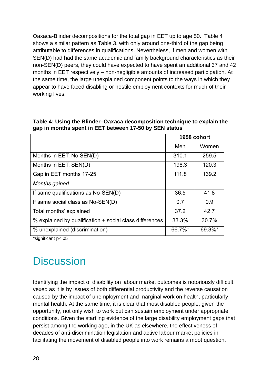Oaxaca-Blinder decompositions for the total gap in EET up to age 50. Table 4 shows a similar pattern as Table 3, with only around one-third of the gap being attributable to differences in qualifications. Nevertheless, if men and women with SEN(D) had had the same academic and family background characteristics as their non-SEN(D) peers, they could have expected to have spent an additional 37 and 42 months in EET respectively – non-negligible amounts of increased participation. At the same time, the large unexplained component points to the ways in which they appear to have faced disabling or hostile employment contexts for much of their working lives.

|                                                         | 1958 cohort |        |
|---------------------------------------------------------|-------------|--------|
|                                                         | Men         | Women  |
| Months in EET: No SEN(D)                                | 310.1       | 259.5  |
| Months in EET: SEN(D)                                   | 198.3       | 120.3  |
| Gap in EET months 17-25                                 | 111.8       | 139.2  |
| Months gained                                           |             |        |
| If same qualifications as No-SEN(D)                     | 36.5        | 41.8   |
| If same social class as $No-SEN(D)$                     | 0.7         | 0.9    |
| Total months' explained                                 | 37.2        | 42.7   |
| % explained by qualification + social class differences | 33.3%       | 30.7%  |
| % unexplained (discrimination)                          | 66.7%*      | 69.3%* |

**Table 4: Using the Blinder–Oaxaca decomposition technique to explain the gap in months spent in EET between 17-50 by SEN status** 

\*significant p<.05

# **Discussion**

Identifying the impact of disability on labour market outcomes is notoriously difficult, vexed as it is by issues of both differential productivity and the reverse causation caused by the impact of unemployment and marginal work on health, particularly mental health. At the same time, it is clear that most disabled people, given the opportunity, not only wish to work but can sustain employment under appropriate conditions. Given the startling evidence of the large disability employment gaps that persist among the working age, in the UK as elsewhere, the effectiveness of decades of anti-discrimination legislation and active labour market policies in facilitating the movement of disabled people into work remains a moot question.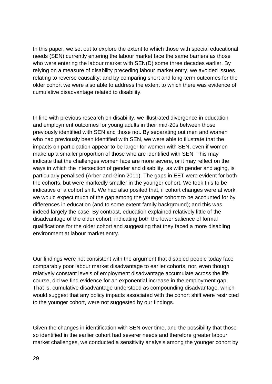In this paper, we set out to explore the extent to which those with special educational needs (SEN) currently entering the labour market face the same barriers as those who were entering the labour market with SEN(D) some three decades earlier. By relying on a measure of disability preceding labour market entry, we avoided issues relating to reverse causality; and by comparing short and long-term outcomes for the older cohort we were also able to address the extent to which there was evidence of cumulative disadvantage related to disability.

In line with previous research on disability, we illustrated divergence in education and employment outcomes for young adults in their mid-20s between those previously identified with SEN and those not. By separating out men and women who had previously been identified with SEN, we were able to illustrate that the impacts on participation appear to be larger for women with SEN, even if women make up a smaller proportion of those who are identified with SEN. This may indicate that the challenges women face are more severe, or it may reflect on the ways in which the intersection of gender and disability, as with gender and aging, is particularly penalised (Arber and Ginn 2011). The gaps in EET were evident for both the cohorts, but were markedly smaller in the younger cohort. We took this to be indicative of a cohort shift. We had also posited that, if cohort changes were at work, we would expect much of the gap among the younger cohort to be accounted for by differences in education (and to some extent family background); and this was indeed largely the case. By contrast, education explained relatively little of the disadvantage of the older cohort, indicating both the lower salience of formal qualifications for the older cohort and suggesting that they faced a more disabling environment at labour market entry.

Our findings were not consistent with the argument that disabled people today face comparably poor labour market disadvantage to earlier cohorts, nor, even though relatively constant levels of employment disadvantage accumulate across the life course, did we find evidence for an exponential increase in the employment gap. That is, cumulative disadvantage understood as compounding disadvantage, which would suggest that any policy impacts associated with the cohort shift were restricted to the younger cohort, were not suggested by our findings.

Given the changes in identification with SEN over time, and the possibility that those so identified in the earlier cohort had severer needs and therefore greater labour market challenges, we conducted a sensitivity analysis among the younger cohort by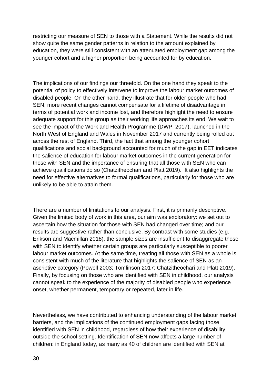restricting our measure of SEN to those with a Statement. While the results did not show quite the same gender patterns in relation to the amount explained by education, they were still consistent with an attenuated employment gap among the younger cohort and a higher proportion being accounted for by education.

The implications of our findings our threefold. On the one hand they speak to the potential of policy to effectively intervene to improve the labour market outcomes of disabled people. On the other hand, they illustrate that for older people who had SEN, more recent changes cannot compensate for a lifetime of disadvantage in terms of potential work and income lost, and therefore highlight the need to ensure adequate support for this group as their working life approaches its end. We wait to see the impact of the Work and Health Programme (DWP, 2017), launched in the North West of England and Wales in November 2017 and currently being rolled out across the rest of England. Third, the fact that among the younger cohort qualifications and social background accounted for much of the gap in EET indicates the salience of education for labour market outcomes in the current generation for those with SEN and the importance of ensuring that all those with SEN who can achieve qualifications do so (Chatzitheochari and Platt 2019). It also highlights the need for effective alternatives to formal qualifications, particularly for those who are unlikely to be able to attain them.

There are a number of limitations to our analysis. First, it is primarily descriptive. Given the limited body of work in this area, our aim was exploratory: we set out to ascertain how the situation for those with SEN had changed over time; and our results are suggestive rather than conclusive. By contrast with some studies (e.g. Erikson and Macmillan 2018), the sample sizes are insufficient to disaggregate those with SEN to identify whether certain groups are particularly susceptible to poorer labour market outcomes. At the same time, treating all those with SEN as a whole is consistent with much of the literature that highlights the salience of SEN as an ascriptive category (Powell 2003; Tomlinson 2017; Chatzitheochari and Platt 2019). Finally, by focusing on those who are identified with SEN in childhood, our analysis cannot speak to the experience of the majority of disabled people who experience onset, whether permanent, temporary or repeated, later in life.

Nevertheless, we have contributed to enhancing understanding of the labour market barriers, and the implications of the continued employment gaps facing those identified with SEN in childhood, regardless of how their experience of disability outside the school setting. Identification of SEN now affects a large number of children: in England today, as many as 40 of children are identified with SEN at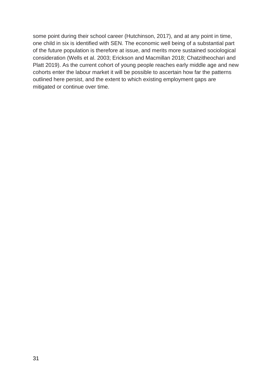some point during their school career (Hutchinson, 2017), and at any point in time, one child in six is identified with SEN. The economic well being of a substantial part of the future population is therefore at issue, and merits more sustained sociological consideration (Wells et al. 2003; Erickson and Macmillan 2018; Chatzitheochari and Platt 2019). As the current cohort of young people reaches early middle age and new cohorts enter the labour market it will be possible to ascertain how far the patterns outlined here persist, and the extent to which existing employment gaps are mitigated or continue over time.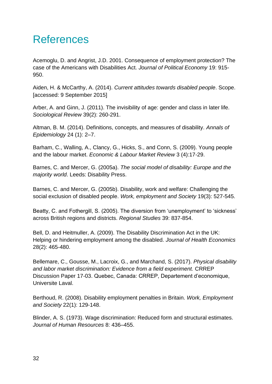# References

Acemoglu, D. and Angrist, J.D. 2001. Consequence of employment protection? The case of the Americans with Disabilities Act. *Journal of Political Economy* 19: 915- 950.

Aiden, H. & McCarthy, A. (2014). *Current attitudes towards disabled people*. Scope. [accessed: 9 September 2015]

Arber, A. and Ginn, J. (2011). The invisibility of age: gender and class in later life. *Sociological Review* 39(2): 260-291.

Altman, B. M. (2014). Definitions, concepts, and measures of disability. *Annals of Epidemiology* 24 (1): 2–7.

Barham, C., Walling, A., Clancy, G., Hicks, S., and Conn, S. (2009). Young people and the labour market. *Economic & Labour Market Review* 3 (4):17-29.

Barnes, C. and Mercer, G. (2005a). *The social model of disability: Europe and the majority world*. Leeds: Disability Press.

Barnes, C. and Mercer, G. (2005b). Disability, work and welfare: Challenging the social exclusion of disabled people. *Work, employment and Society* 19(3): 527-545.

Beatty, C. and Fothergill, S. (2005). The diversion from 'unemployment' to 'sickness' across British regions and districts. *Regional Studies* 39: 837-854.

Bell, D. and Heitmuller, A. (2009). The Disability Discrimination Act in the UK: Helping or hindering employment among the disabled. *Journal of Health Economics*  28(2): 465-480.

Bellemare, C., Gousse, M., Lacroix, G., and Marchand, S. (2017). *Physical disability and labor market discrimination: Evidence from a field experiment.* CRREP Discussion Paper 17-03. Quebec, Canada: CRREP, Departement d'economique, Universite Laval.

Berthoud, R. (2008). Disability employment penalties in Britain. *Work, Employment and Society* 22(1): 129-148.

Blinder, A. S. (1973). Wage discrimination: Reduced form and structural estimates. *Journal of Human Resources* 8: 436–455.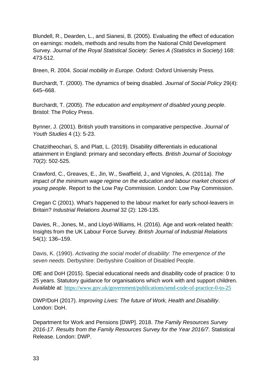Blundell, R., Dearden, L., and Sianesi, B. (2005). Evaluating the effect of education on earnings: models, methods and results from the National Child Development Survey. *Journal of the Royal Statistical Society: Series A (Statistics in Society)* 168: 473-512.

Breen, R. 2004. *Social mobility in Europe*. Oxford: Oxford University Press.

Burchardt, T. (2000). The dynamics of being disabled. *Journal of Social Policy* 29(4): 645–668.

Burchardt, T. (2005). *The education and employment of disabled young people*. Bristol: The Policy Press.

Bynner, J. (2001). British youth transitions in comparative perspective. *Journal of Youth Studies* 4 (1): 5-23.

Chatzitheochari, S. and Platt, L. (2019). Disability differentials in educational attainment in England: primary and secondary effects. *British Journal of Sociology* 70(2): 502-525.

Crawford, C., Greaves, E., Jin, W., Swaffield, J., and Vignoles, A. (2011a). *The impact of the minimum wage regime on the education and labour market choices of young people*. Report to the Low Pay Commission. London: Low Pay Commission.

Cregan C (2001). What's happened to the labour market for early school-leavers in Britain? *Industrial Relations Journal* 32 (2): 126-135.

Davies, R., Jones, M., and Lloyd-Williams, H. (2016). Age and work-related health: Insights from the UK Labour Force Survey. *British Journal of Industrial Relations* 54(1): 136–159.

Davis, K. (1990). *Activating the social model of disability: The emergence of the seven needs.* Derbyshire: Derbyshire Coalition of Disabled People.

DfE and DoH (2015). Special educational needs and disability code of practice: 0 to 25 years. Statutory guidance for organisations which work with and support children. Available at: <https://www.gov.uk/government/publications/send-code-of-practice-0-to-25>

DWP/DoH (2017). *Improving Lives: The future of Work, Health and Disability*. London: DoH.

Department for Work and Pensions [DWP]. 2018. *The Family Resources Survey 2016-17. Results from the Family Resources Survey for the Year 2016/7*. Statistical Release. London: DWP.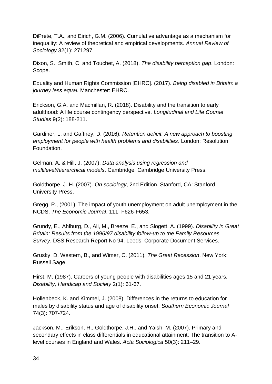DiPrete, T.A., and Eirich, G.M. (2006). Cumulative advantage as a mechanism for inequality: A review of theoretical and empirical developments. *Annual Review of Sociology* 32(1): 271297.

Dixon, S., Smith, C. and Touchet, A. (2018). *The disability perception gap*. London: Scope.

Equality and Human Rights Commission [EHRC]. (2017). *Being disabled in Britain: a journey less equal.* Manchester: EHRC.

Erickson, G.A. and Macmillan, R. (2018). Disability and the transition to early adulthood: A life course contingency perspective. *Longitudinal and Life Course Studies* 9(2): 188-211.

Gardiner, L. and Gaffney, D. (2016). *Retention deficit: A new approach to boosting employment for people with health problems and disabilities*. London: Resolution Foundation.

Gelman, A. & Hill, J. (2007). *Data analysis using regression and multilevel/hierarchical models*. Cambridge: Cambridge University Press.

Goldthorpe, J. H. (2007). *On sociology*, 2nd Edition. Stanford, CA: Stanford University Press.

Gregg, P., (2001). The impact of youth unemployment on adult unemployment in the NCDS. *The Economic Journal*, 111: F626-F653.

Grundy, E., Ahlburg, D., Ali, M., Breeze, E., and Slogett, A. (1999). *Disability in Great Britain: Results from the 1996/97 disability follow-up to the Family Resources Survey*. DSS Research Report No 94. Leeds: Corporate Document Services.

Grusky, D. Western, B., and Wimer, C. (2011). *The Great Recession*. New York: Russell Sage.

Hirst, M. (1987). Careers of young people with disabilities ages 15 and 21 years. *Disability, Handicap and Society* 2(1): 61-67.

Hollenbeck, K. and Kimmel, J. (2008). Differences in the returns to education for males by disability status and age of disability onset. *Southern Economic Journal* 74(3): 707-724.

Jackson, M., Erikson, R., Goldthorpe, J.H., and Yaish, M. (2007). Primary and secondary effects in class differentials in educational attainment: The transition to Alevel courses in England and Wales. *Acta Sociologica* 50(3): 211–29.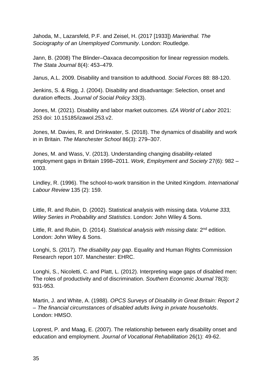Jahoda, M., Lazarsfeld, P.F. and Zeisel, H. (2017 [1933]) *Marienthal. The Sociography of an Unemployed Community*. London: Routledge.

Jann, B. (2008) The Blinder–Oaxaca decomposition for linear regression models. *The Stata Journal* 8(4): 453–479.

Janus, A.L. 2009. Disability and transition to adulthood. *Social Forces* 88: 88-120.

Jenkins, S. & Rigg, J. (2004). Disability and disadvantage: Selection, onset and duration effects. *Journal of Social Policy* 33(3).

Jones, M. (2021). Disability and labor market outcomes. *IZA World of Labor* 2021: 253 doi: 10.15185/izawol.253.v2.

Jones, M. Davies, R. and Drinkwater, S. (2018). The dynamics of disability and work in in Britain. *The Manchester School* 86(3): 279–307.

Jones, M. and Wass, V. (2013). Understanding changing disability-related employment gaps in Britain 1998–2011. *Work, Employment and Society* 27(6): 982 – 1003.

Lindley, R. (1996). The school-to-work transition in the United Kingdom. *International Labour Review* 135 (2): 159.

Little, R. and Rubin, D. (2002). Statistical analysis with missing data. *Volume 333, Wiley Series in Probability and Statistics*. London: John Wiley & Sons.

Little, R. and Rubin, D. (2014). *Statistical analysis with missing data*: 2nd edition. London: John Wiley & Sons.

Longhi, S. (2017). *The disability pay gap*. Equality and Human Rights Commission Research report 107. Manchester: EHRC.

Longhi, S., Nicoletti, C. and Platt, L. (2012). Interpreting wage gaps of disabled men: The roles of productivity and of discrimination. *Southern Economic Journal* 78(3): 931-953.

Martin, J. and White, A. (1988). *OPCS Surveys of Disability in Great Britain: Report 2 – The financial circumstances of disabled adults living in private households*. London: HMSO.

Loprest, P. and Maag, E. (2007). The relationship between early disability onset and education and employment. *Journal of Vocational Rehabilitation* 26(1): 49-62.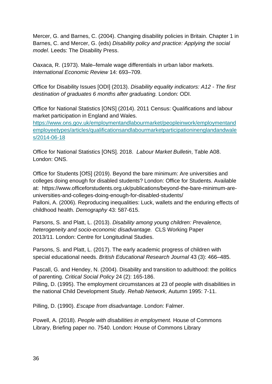Mercer, G. and Barnes, C. (2004). Changing disability policies in Britain. Chapter 1 in Barnes, C. and Mercer, G. (eds) *Disability policy and practice: Applying the social model*. Leeds: The Disability Press.

Oaxaca, R. (1973). Male–female wage differentials in urban labor markets. *International Economic Review* 14: 693–709.

Office for Disability Issues [ODI] (2013). *Disability equality indicators: A12 - The first destination of graduates 6 months after graduating.* London: ODI.

Office for National Statistics [ONS] (2014). 2011 Census: Qualifications and labour market participation in England and Wales.

[https://www.ons.gov.uk/employmentandlabourmarket/peopleinwork/employmentand](https://www.ons.gov.uk/employmentandlabourmarket/peopleinwork/employmentandemployeetypes/articles/qualificationsandlabourmarketparticipationinenglandandwales/2014-06-18) [employeetypes/articles/qualificationsandlabourmarketparticipationinenglandandwale](https://www.ons.gov.uk/employmentandlabourmarket/peopleinwork/employmentandemployeetypes/articles/qualificationsandlabourmarketparticipationinenglandandwales/2014-06-18) [s/2014-06-18](https://www.ons.gov.uk/employmentandlabourmarket/peopleinwork/employmentandemployeetypes/articles/qualificationsandlabourmarketparticipationinenglandandwales/2014-06-18)

Office for National Statistics [ONS]. 2018. *Labour Market Bulletin*, Table A08. London: ONS.

Office for Students [OfS] (2019). Beyond the bare minimum: Are universities and colleges doing enough for disabled students? London: Office for Students. Available at: https://www.officeforstudents.org.uk/publications/beyond-the-bare-minimum-areuniversities-and-colleges-doing-enough-for-disabled-students/ Palloni, A. (2006). Reproducing inequalities: Luck, wallets and the enduring effects of childhood health. *Demography* 43: 587-615.

Parsons, S. and Platt, L. (2013). *[Disability among young children: Prevalence,](http://www.cls.ioe.ac.uk/shared/get-file.ashx?itemtype=document&id=1763)  [heterogeneity and socio-economic disadvantage.](http://www.cls.ioe.ac.uk/shared/get-file.ashx?itemtype=document&id=1763)* CLS Working Paper 2013/11. London: Centre for Longitudinal Studies.

Parsons, S. and Platt, L. (2017). The early academic progress of children with special educational needs. *British Educational Research Journal* 43 (3): 466–485.

Pascall, G. and Hendey, N. (2004). Disability and transition to adulthood: the politics of parenting. *Critical Social Policy* 24 (2): 165-186.

Pilling, D. (1995). The employment circumstances at 23 of people with disabilities in the national Child Development Study. *Rehab Network,* Autumn 1995: 7-11.

Pilling, D. (1990). *Escape from disadvantage*. London: Falmer.

Powell, A. (2018). *People with disabilities in employment.* House of Commons Library, Briefing paper no. 7540. London: House of Commons Library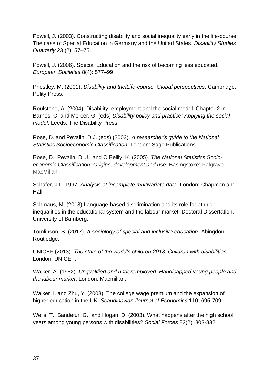Powell, J. (2003). Constructing disability and social inequality early in the life-course: The case of Special Education in Germany and the United States. *Disability Studies Quarterly* 23 (2): 57–75.

Powell, J. (2006). Special Education and the risk of becoming less educated. *European Societies* 8(4): 577–99.

Priestley, M. (2001). *Disability and thelLife-course: Global perspectives*. Cambridge: Polity Press.

Roulstone, A. (2004). Disability, employment and the social model. Chapter 2 in Barnes, C. and Mercer, G. (eds) *Disability policy and practice: Applying the social model*. Leeds: The Disability Press.

Rose, D. and Pevalin, D.J. (eds) (2003). *A researcher's guide to the National Statistics Socioeconomic Classification*. London: Sage Publications.

Rose, D., Pevalin, D. J., and O'Reilly, K. (2005). *The National Statistics Socioeconomic Classification: Origins, development and use*. Basingstoke: Palgrave **MacMillan** 

Schafer, J.L. 1997. *Analysis of incomplete multivariate data*. London: Chapman and Hall.

Schmaus, M. (2018) Language-based discrimination and its role for ethnic inequalities in the educational system and the labour market. Doctoral Dissertation, University of Bamberg.

Tomlinson, S. (2017). *A sociology of special and inclusive education*. Abingdon: Routledge.

UNICEF (2013). *The state of the world's children 2013: Children with disabilities.* London: UNICEF,

Walker, A. (1982). *Unqualified and underemployed: Handicapped young people and the labour market*. London: Macmillan.

Walker, I. and Zhu, Y. (2008). The college wage premium and the expansion of higher education in the UK. *Scandinavian Journal of Economics* 110: 695-709

Wells, T., Sandefur, G., and Hogan, D. (2003). What happens after the high school years among young persons with disabilities? *Social Forces* 82(2): 803-832